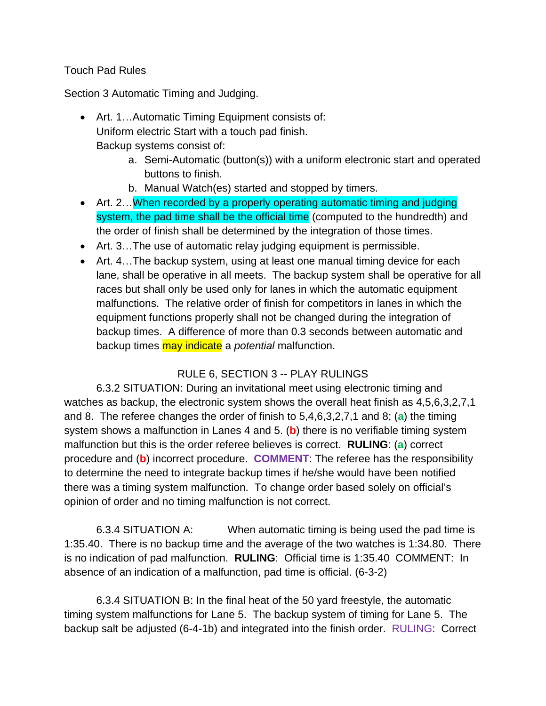## Touch Pad Rules

Section 3 Automatic Timing and Judging.

- Art. 1...Automatic Timing Equipment consists of: Uniform electric Start with a touch pad finish. Backup systems consist of:
	- a. Semi-Automatic (button(s)) with a uniform electronic start and operated buttons to finish.
	- b. Manual Watch(es) started and stopped by timers.
- Art. 2...When recorded by a properly operating automatic timing and judging system, the pad time shall be the official time (computed to the hundredth) and the order of finish shall be determined by the integration of those times.
- Art. 3…The use of automatic relay judging equipment is permissible.
- Art. 4... The backup system, using at least one manual timing device for each lane, shall be operative in all meets. The backup system shall be operative for all races but shall only be used only for lanes in which the automatic equipment malfunctions. The relative order of finish for competitors in lanes in which the equipment functions properly shall not be changed during the integration of backup times. A difference of more than 0.3 seconds between automatic and backup times may indicate a *potential* malfunction.

## RULE 6, SECTION 3 -- PLAY RULINGS

 6.3.2 SITUATION: During an invitational meet using electronic timing and watches as backup, the electronic system shows the overall heat finish as 4,5,6,3,2,7,1 and 8. The referee changes the order of finish to 5,4,6,3,2,7,1 and 8; (**a**) the timing system shows a malfunction in Lanes 4 and 5. (**b**) there is no verifiable timing system malfunction but this is the order referee believes is correct. **RULING**: (**a**) correct procedure and (**b**) incorrect procedure. **COMMENT**: The referee has the responsibility to determine the need to integrate backup times if he/she would have been notified there was a timing system malfunction. To change order based solely on official's opinion of order and no timing malfunction is not correct.

6.3.4 SITUATION A: When automatic timing is being used the pad time is 1:35.40. There is no backup time and the average of the two watches is 1:34.80. There is no indication of pad malfunction. **RULING**: Official time is 1:35.40 COMMENT: In absence of an indication of a malfunction, pad time is official. (6-3-2)

 6.3.4 SITUATION B: In the final heat of the 50 yard freestyle, the automatic timing system malfunctions for Lane 5. The backup system of timing for Lane 5. The backup salt be adjusted (6-4-1b) and integrated into the finish order. RULING: Correct